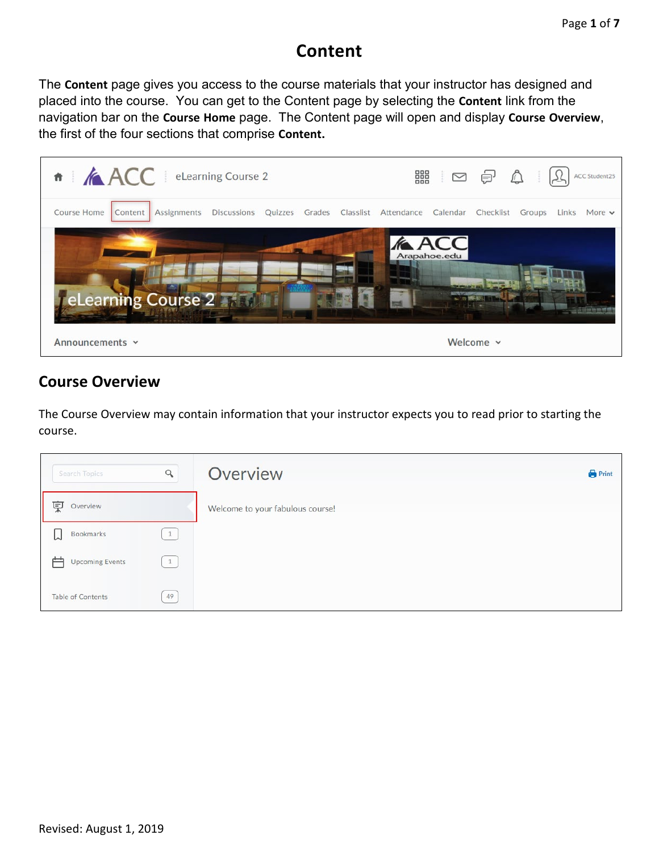# **Content**

The **Content** page gives you access to the course materials that your instructor has designed and placed into the course. You can get to the Content page by selecting the **Content** link from the navigation bar on the **Course Home** page. The Content page will open and display **Course Overview**, the first of the four sections that comprise **Content.**



### **Course Overview**

The Course Overview may contain information that your instructor expects you to read prior to starting the course.

| Search Topics               | $\alpha$     | Overview                         | <b>Print</b> |
|-----------------------------|--------------|----------------------------------|--------------|
| 稟<br>Overview               |              | Welcome to your fabulous course! |              |
| Bookmarks<br>∽              | $\mathbf{1}$ |                                  |              |
| <b>Upcoming Events</b><br>ᆖ | 1            |                                  |              |
| <b>Table of Contents</b>    | 49           |                                  |              |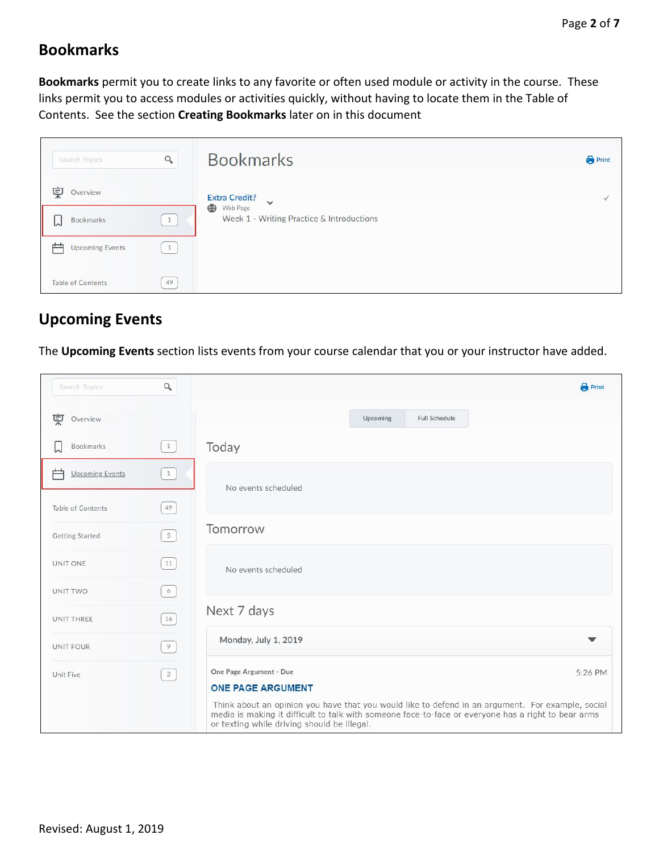### **Bookmarks**

**Bookmarks** permit you to create links to any favorite or often used module or activity in the course. These links permit you to access modules or activities quickly, without having to locate them in the Table of Contents. See the section **Creating Bookmarks** later on in this document

| Search Topics            | $\alpha$ | <b>Bookmarks</b>                                           | <b>Print</b> |
|--------------------------|----------|------------------------------------------------------------|--------------|
| 稟<br>Overview            |          | <b>Extra Credit?</b><br>$\checkmark$                       |              |
| Bookmarks<br>W           | 1        | ⊕<br>Web Page<br>Week 1 - Writing Practice & Introductions |              |
| <b>Upcoming Events</b>   |          |                                                            |              |
| <b>Table of Contents</b> | 49       |                                                            |              |

## **Upcoming Events**

The **Upcoming Events** section lists events from your course calendar that you or your instructor have added.

| Search Topics               | $\hbox{\large \it q}$                           | <b>Print</b>                                                                                                                                                                                                                                                                                                              |  |
|-----------------------------|-------------------------------------------------|---------------------------------------------------------------------------------------------------------------------------------------------------------------------------------------------------------------------------------------------------------------------------------------------------------------------------|--|
| 稟<br>Overview               |                                                 | <b>Full Schedule</b><br>Upcoming                                                                                                                                                                                                                                                                                          |  |
| Bookmarks                   | $\begin{pmatrix} 1 \end{pmatrix}$               | Today                                                                                                                                                                                                                                                                                                                     |  |
| 户<br><b>Upcoming Events</b> | 1                                               | No events scheduled                                                                                                                                                                                                                                                                                                       |  |
| Table of Contents           | 49                                              |                                                                                                                                                                                                                                                                                                                           |  |
| <b>Getting Started</b>      | $5\overline{)}$                                 | Tomorrow                                                                                                                                                                                                                                                                                                                  |  |
| UNIT ONE                    | 11                                              | No events scheduled                                                                                                                                                                                                                                                                                                       |  |
| UNIT TWO                    | 6                                               |                                                                                                                                                                                                                                                                                                                           |  |
| UNIT THREE                  | $16$                                            | Next 7 days                                                                                                                                                                                                                                                                                                               |  |
| <b>UNIT FOUR</b>            | 9                                               | Monday, July 1, 2019<br>▼                                                                                                                                                                                                                                                                                                 |  |
| Unit Five                   | $\left( \begin{array}{c} 2 \end{array} \right)$ | One Page Argument - Due<br>5:26 PM<br><b>ONE PAGE ARGUMENT</b><br>Think about an opinion you have that you would like to defend in an argument. For example, social<br>media is making it difficult to talk with someone face-to-face or everyone has a right to bear arms<br>or texting while driving should be illegal. |  |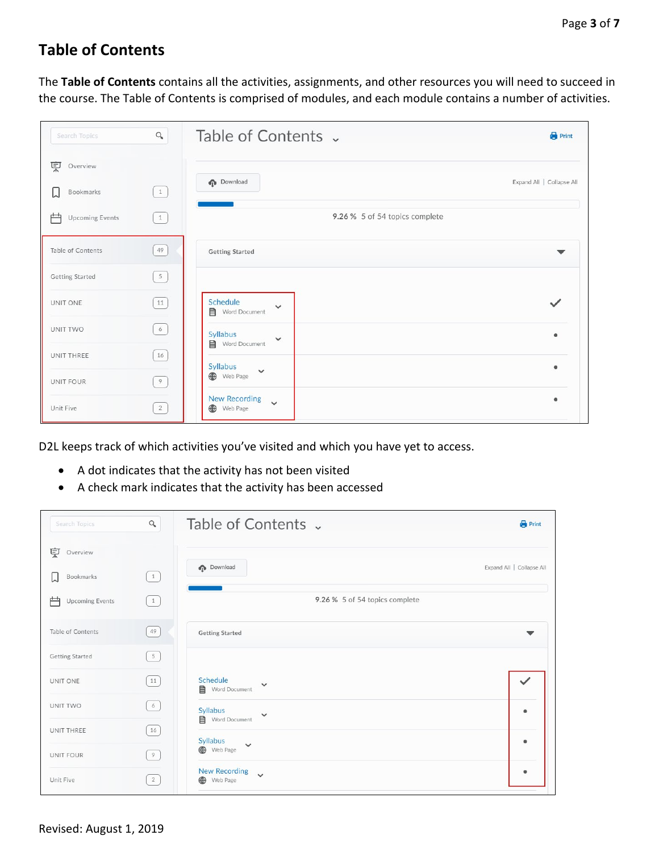## **Table of Contents**

The **Table of Contents** contains all the activities, assignments, and other resources you will need to succeed in the course. The Table of Contents is comprised of modules, and each module contains a number of activities.

| Search Topics               | $\alpha$       | Table of Contents v                              | <b>Print</b>              |
|-----------------------------|----------------|--------------------------------------------------|---------------------------|
| 稟<br>Overview               |                |                                                  |                           |
| Bookmarks<br>W              | $\boxed{1}$    | <b>Download</b>                                  | Expand All   Collapse All |
| 户<br><b>Upcoming Events</b> | 1              | 9.26 % 5 of 54 topics complete                   |                           |
| Table of Contents           | 49             | <b>Getting Started</b>                           | v                         |
| <b>Getting Started</b>      | $\overline{5}$ |                                                  |                           |
| UNIT ONE                    | $11\,$         | Schedule<br>$\checkmark$<br>Word Document        |                           |
| UNIT TWO                    | $\epsilon$     | Syllabus<br>$\checkmark$                         |                           |
| UNIT THREE                  | $16\,$         | Word Document<br>Syllabus                        | a.                        |
| UNIT FOUR                   | 9              | $\checkmark$<br>Web Page                         |                           |
| Unit Five                   | 2              | <b>New Recording</b><br>$\checkmark$<br>Web Page | ٠                         |

D2L keeps track of which activities you've visited and which you have yet to access.

- A dot indicates that the activity has not been visited
- A check mark indicates that the activity has been accessed

| Search Topics               | $\alpha$                                        | Table of Contents v                                | <b>Print</b>              |
|-----------------------------|-------------------------------------------------|----------------------------------------------------|---------------------------|
| 稟<br>Overview               |                                                 |                                                    |                           |
| Bookmarks<br>W              | $\begin{pmatrix} 1 \end{pmatrix}$               | <b>p</b> Download                                  | Expand All   Collapse All |
| 户<br><b>Upcoming Events</b> | $\begin{pmatrix} 1 \end{pmatrix}$               | 9.26 % 5 of 54 topics complete                     |                           |
| Table of Contents           | 49)                                             | <b>Getting Started</b>                             |                           |
| <b>Getting Started</b>      | $\begin{bmatrix} 5 \end{bmatrix}$               |                                                    |                           |
| UNIT ONE                    | 11                                              | Schedule<br>$\checkmark$<br>Word Document          | $\checkmark$              |
| UNIT TWO                    | 6)                                              | Syllabus<br>$\checkmark$<br><b>目</b> Word Document | $\circ$                   |
| UNIT THREE                  | 16                                              | Syllabus<br>$\checkmark$                           | $\bullet$                 |
| <b>UNIT FOUR</b>            | $\left( \begin{array}{c} 9 \end{array} \right)$ | Web Page                                           |                           |
| Unit Five                   | $2 \}$                                          | <b>New Recording</b><br>$\checkmark$<br>Web Page   | $\bullet$                 |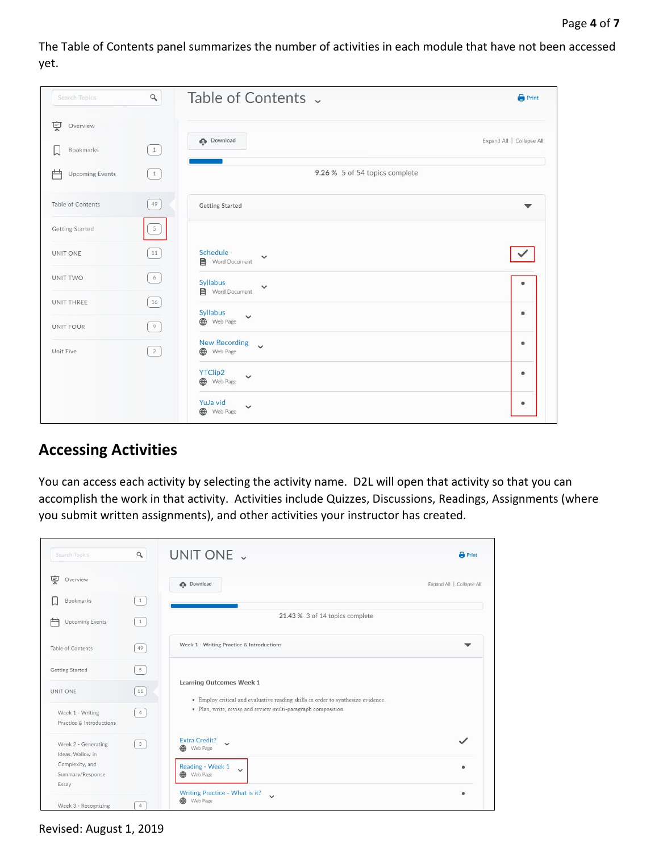The Table of Contents panel summarizes the number of activities in each module that have not been accessed yet.

| Search Topics               | $\hbox{\large \it q}$                           | Table of Contents v                                      | <b>Print</b>              |
|-----------------------------|-------------------------------------------------|----------------------------------------------------------|---------------------------|
| 稟<br>Overview               |                                                 |                                                          |                           |
| Bookmarks                   | $\begin{pmatrix} 1 \end{pmatrix}$               | <b>Download</b>                                          | Expand All   Collapse All |
| 户<br><b>Upcoming Events</b> | $\begin{pmatrix} 1 \end{pmatrix}$               | 9.26 % 5 of 54 topics complete                           |                           |
| Table of Contents           | 49                                              | <b>Getting Started</b>                                   | ▼                         |
| <b>Getting Started</b>      | $\boxed{5}$                                     |                                                          |                           |
| UNIT ONE                    | 11                                              | Schedule<br>$\checkmark$<br>Word Document                | ✓                         |
| UNIT TWO                    | $\sqrt{6}$                                      | Syllabus<br>$\checkmark$<br>Word Document                | $\bullet$                 |
| UNIT THREE                  | $16$                                            | Syllabus<br>$\checkmark$                                 | ٠                         |
| UNIT FOUR                   | 9                                               | Web Page                                                 |                           |
| Unit Five                   | $\left( \begin{array}{c} 2 \end{array} \right)$ | <b>New Recording</b><br>$\ddot{\phantom{0}}$<br>Web Page | $\bullet$                 |
|                             |                                                 | YTClip2<br>$\checkmark$<br>Web Page                      | $\bullet$                 |
|                             |                                                 | YuJa vid<br>$\checkmark$<br>Web Page                     | $\bullet$                 |

#### **Accessing Activities**

You can access each activity by selecting the activity name. D2L will open that activity so that you can accomplish the work in that activity. Activities include Quizzes, Discussions, Readings, Assignments (where you submit written assignments), and other activities your instructor has created.

| Search Topics                                | $\alpha$       | UNIT ONE J                                                                                                                                        | <b>Print</b>              |
|----------------------------------------------|----------------|---------------------------------------------------------------------------------------------------------------------------------------------------|---------------------------|
| 稟<br>Overview                                |                | <b>n</b> Download                                                                                                                                 | Expand All   Collapse All |
| <b>Bookmarks</b>                             | 1              |                                                                                                                                                   |                           |
| 户<br><b>Upcoming Events</b>                  | 1              | 21.43 % 3 of 14 topics complete                                                                                                                   |                           |
| Table of Contents                            | 49             | Week 1 - Writing Practice & Introductions                                                                                                         |                           |
| <b>Getting Started</b>                       | 5 <sup>1</sup> |                                                                                                                                                   |                           |
| UNIT ONE                                     | $11\,$         | Learning Outcomes Week 1                                                                                                                          |                           |
| Week 1 - Writing<br>Practice & Introductions | 4              | · Employ critical and evaluative reading skills in order to synthesize evidence.<br>· Plan, write, revise and review multi-paragraph composition. |                           |
| Week 2 - Generating<br>Ideas, Wallow in      | 3              | <b>Extra Credit?</b><br>$\checkmark$<br>Web Page<br>⊕                                                                                             | ✓                         |
| Complexity, and<br>Summary/Response          |                | Reading - Week 1<br>$\checkmark$<br>Web Page                                                                                                      | ٠                         |
| Essay<br>Week 3 - Recognizing                | $\overline{4}$ | Writing Practice - What is it?<br>Web Page<br>⊕                                                                                                   | ۵                         |

Revised: August 1, 2019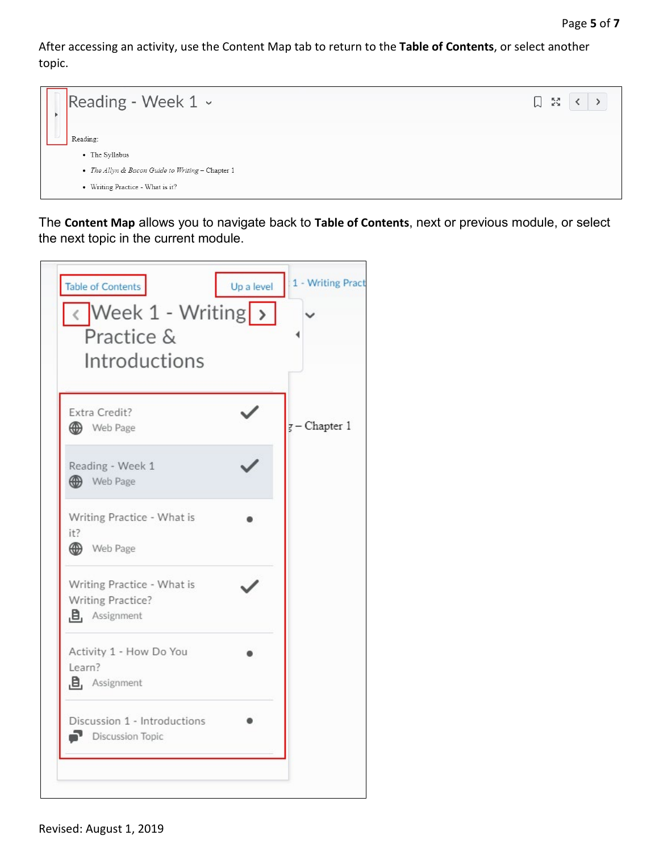After accessing an activity, use the Content Map tab to return to the **Table of Contents**, or select another topic.



The **Content Map** allows you to navigate back to **Table of Contents**, next or previous module, or select the next topic in the current module.

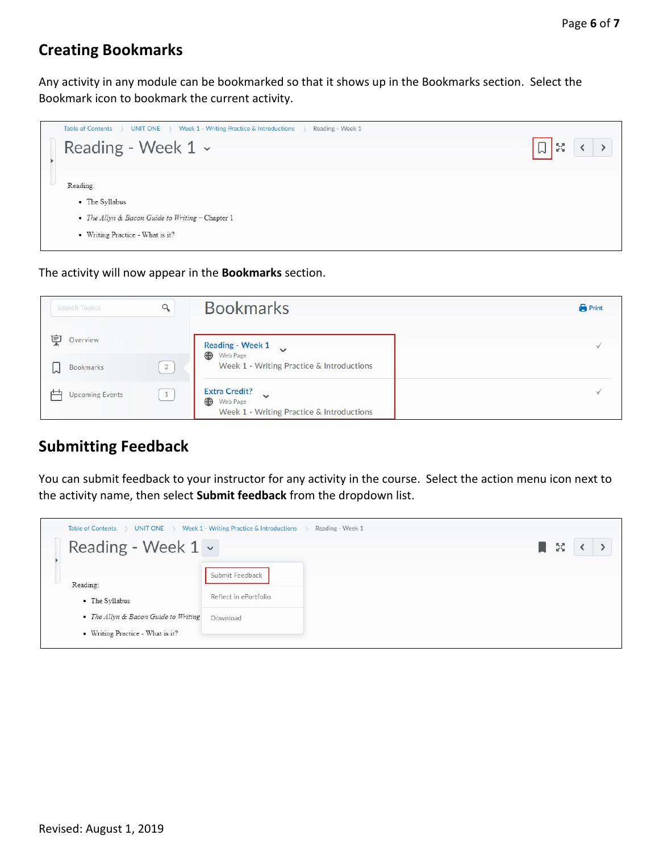## **Creating Bookmarks**

Any activity in any module can be bookmarked so that it shows up in the Bookmarks section. Select the Bookmark icon to bookmark the current activity.



The activity will now appear in the **Bookmarks** section.

| Search Topics               | $\alpha$       | <b>Bookmarks</b>                                                                                   | <b>Print</b> |
|-----------------------------|----------------|----------------------------------------------------------------------------------------------------|--------------|
| 稟<br>Overview               |                | Reading - Week 1<br>$\ddot{\phantom{0}}$                                                           |              |
| Bookmarks<br>W              | $\overline{2}$ | Web Page<br>Week 1 - Writing Practice & Introductions                                              |              |
| 屵<br><b>Upcoming Events</b> | $\mathbf{1}$   | <b>Extra Credit?</b><br>$\checkmark$<br>⊕<br>Web Page<br>Week 1 - Writing Practice & Introductions | $\checkmark$ |

#### **Submitting Feedback**

You can submit feedback to your instructor for any activity in the course. Select the action menu icon next to the activity name, then select **Submit feedback** from the dropdown list.